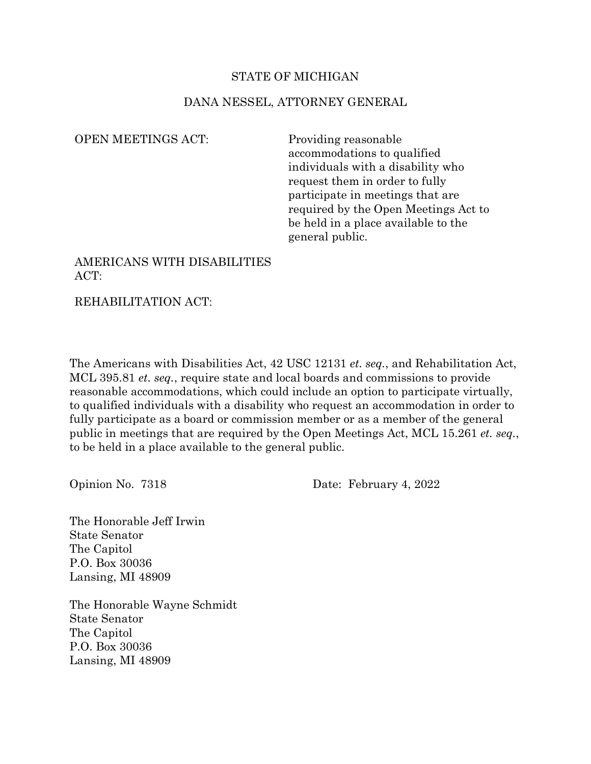## STATE OF MICHIGAN

## DANA NESSEL, ATTORNEY GENERAL

OPEN MEETINGS ACT: Providing reasonable

accommodations to qualified individuals with a disability who request them in order to fully participate in meetings that are required by the Open Meetings Act to be held in a place available to the general public.

## AMERICANS WITH DISABILITIES ACT:

REHABILITATION ACT:

The Americans with Disabilities Act, 42 USC 12131 *et. seq.*, and Rehabilitation Act, MCL 395.81 *et. seq.*, require state and local boards and commissions to provide reasonable accommodations, which could include an option to participate virtually, to qualified individuals with a disability who request an accommodation in order to fully participate as a board or commission member or as a member of the general public in meetings that are required by the Open Meetings Act, MCL 15.261 *et. seq.*, to be held in a place available to the general public.

Opinion No. 7318 Date: February 4, 2022

The Honorable Jeff Irwin State Senator The Capitol P.O. Box 30036 Lansing, MI 48909

The Honorable Wayne Schmidt State Senator The Capitol P.O. Box 30036 Lansing, MI 48909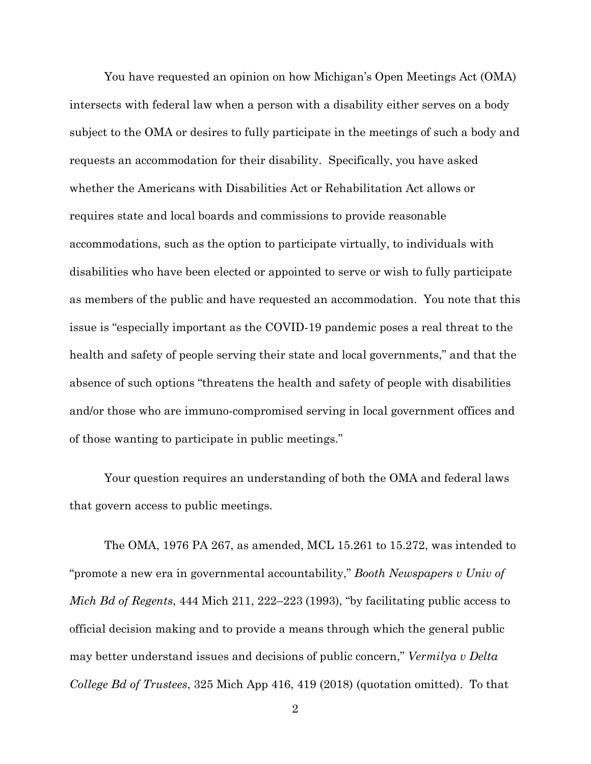You have requested an opinion on how Michigan's Open Meetings Act (OMA) intersects with federal law when a person with a disability either serves on a body subject to the OMA or desires to fully participate in the meetings of such a body and requests an accommodation for their disability. Specifically, you have asked whether the Americans with Disabilities Act or Rehabilitation Act allows or requires state and local boards and commissions to provide reasonable accommodations, such as the option to participate virtually, to individuals with disabilities who have been elected or appointed to serve or wish to fully participate as members of the public and have requested an accommodation. You note that this issue is "especially important as the COVID-19 pandemic poses a real threat to the health and safety of people serving their state and local governments," and that the absence of such options "threatens the health and safety of people with disabilities and/or those who are immuno-compromised serving in local government offices and of those wanting to participate in public meetings."

Your question requires an understanding of both the OMA and federal laws that govern access to public meetings.

The OMA, 1976 PA 267, as amended, MCL 15.261 to 15.272, was intended to "promote a new era in governmental accountability," *Booth Newspapers v Univ of Mich Bd of Regents*, 444 Mich 211, 222–223 (1993), "by facilitating public access to official decision making and to provide a means through which the general public may better understand issues and decisions of public concern," *Vermilya v Delta College Bd of Trustees*, 325 Mich App 416, 419 (2018) (quotation omitted). To that

2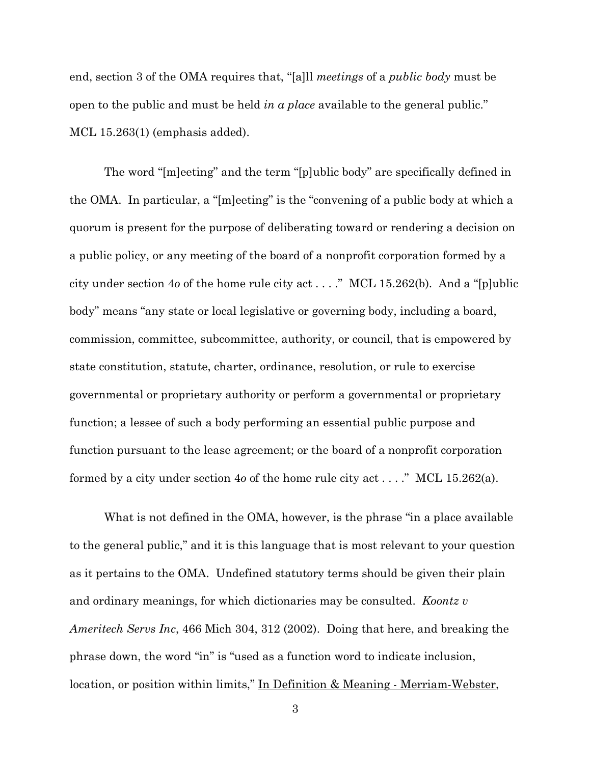end, section 3 of the OMA requires that, "[a]ll *meetings* of a *public body* must be open to the public and must be held *in a place* available to the general public." MCL 15.263(1) (emphasis added).

The word "[m]eeting" and the term "[p]ublic body" are specifically defined in the OMA. In particular, a "[m]eeting" is the "convening of a public body at which a quorum is present for the purpose of deliberating toward or rendering a decision on a public policy, or any meeting of the board of a nonprofit corporation formed by a city under section 4*o* of the home rule city act . . . ." MCL 15.262(b). And a "[p]ublic body" means "any state or local legislative or governing body, including a board, commission, committee, subcommittee, authority, or council, that is empowered by state constitution, statute, charter, ordinance, resolution, or rule to exercise governmental or proprietary authority or perform a governmental or proprietary function; a lessee of such a body performing an essential public purpose and function pursuant to the lease agreement; or the board of a nonprofit corporation formed by a city under section 4*o* of the home rule city act . . . ." MCL 15.262(a).

What is not defined in the OMA, however, is the phrase "in a place available to the general public," and it is this language that is most relevant to your question as it pertains to the OMA. Undefined statutory terms should be given their plain and ordinary meanings, for which dictionaries may be consulted. *Koontz v Ameritech Servs Inc*, 466 Mich 304, 312 (2002). Doing that here, and breaking the phrase down, the word "in" is "used as a function word to indicate inclusion, location, or position within limits," In Definition & Meaning - Merriam-Webster,

3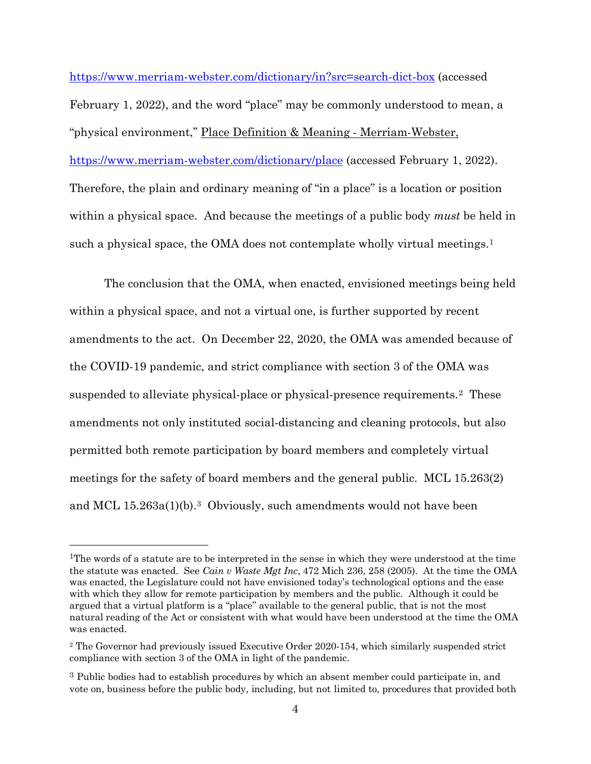<https://www.merriam-webster.com/dictionary/in?src=search-dict-box> (accessed February 1, 2022), and the word "place" may be commonly understood to mean, a "physical environment," Place Definition & Meaning - Merriam-Webster, <https://www.merriam-webster.com/dictionary/place> (accessed February 1, 2022). Therefore, the plain and ordinary meaning of "in a place" is a location or position within a physical space. And because the meetings of a public body *must* be held in such a physical space, the OMA does not contemplate wholly virtual meetings.<sup>1</sup>

The conclusion that the OMA, when enacted, envisioned meetings being held within a physical space, and not a virtual one, is further supported by recent amendments to the act. On December 22, 2020, the OMA was amended because of the COVID-19 pandemic, and strict compliance with section 3 of the OMA was suspended to alleviate physical-place or physical-presence requirements.[2](#page-3-1) These amendments not only instituted social-distancing and cleaning protocols, but also permitted both remote participation by board members and completely virtual meetings for the safety of board members and the general public. MCL 15.263(2) and MCL 15.263a(1)(b).[3](#page-3-2) Obviously, such amendments would not have been

<span id="page-3-0"></span><sup>1</sup>The words of a statute are to be interpreted in the sense in which they were understood at the time the statute was enacted. See *Cain v Waste Mgt Inc*, 472 Mich 236, 258 (2005). At the time the OMA was enacted, the Legislature could not have envisioned today's technological options and the ease with which they allow for remote participation by members and the public. Although it could be argued that a virtual platform is a "place" available to the general public, that is not the most natural reading of the Act or consistent with what would have been understood at the time the OMA was enacted.

<span id="page-3-1"></span><sup>2</sup> The Governor had previously issued Executive Order 2020-154, which similarly suspended strict compliance with section 3 of the OMA in light of the pandemic.

<span id="page-3-2"></span><sup>&</sup>lt;sup>3</sup> Public bodies had to establish procedures by which an absent member could participate in, and vote on, business before the public body, including, but not limited to, procedures that provided both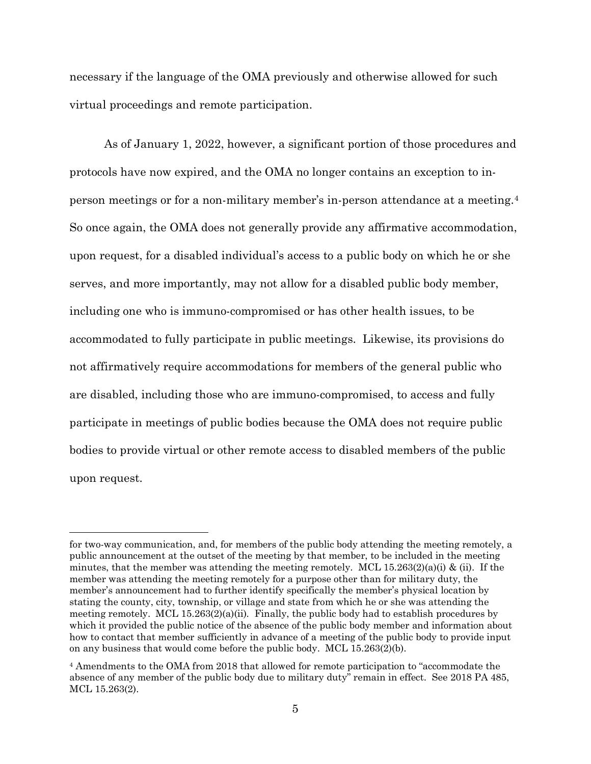necessary if the language of the OMA previously and otherwise allowed for such virtual proceedings and remote participation.

As of January 1, 2022, however, a significant portion of those procedures and protocols have now expired, and the OMA no longer contains an exception to inperson meetings or for a non-military member's in-person attendance at a meeting.[4](#page-4-0) So once again, the OMA does not generally provide any affirmative accommodation, upon request, for a disabled individual's access to a public body on which he or she serves, and more importantly, may not allow for a disabled public body member, including one who is immuno-compromised or has other health issues, to be accommodated to fully participate in public meetings. Likewise, its provisions do not affirmatively require accommodations for members of the general public who are disabled, including those who are immuno-compromised, to access and fully participate in meetings of public bodies because the OMA does not require public bodies to provide virtual or other remote access to disabled members of the public upon request.

for two-way communication, and, for members of the public body attending the meeting remotely, a public announcement at the outset of the meeting by that member, to be included in the meeting minutes, that the member was attending the meeting remotely. MCL 15.263(2)(a)(i) & (ii). If the member was attending the meeting remotely for a purpose other than for military duty, the member's announcement had to further identify specifically the member's physical location by stating the county, city, township, or village and state from which he or she was attending the meeting remotely. MCL  $15.263(2)(a)(ii)$ . Finally, the public body had to establish procedures by which it provided the public notice of the absence of the public body member and information about how to contact that member sufficiently in advance of a meeting of the public body to provide input on any business that would come before the public body. MCL 15.263(2)(b).

<span id="page-4-0"></span><sup>4</sup> Amendments to the OMA from 2018 that allowed for remote participation to "accommodate the absence of any member of the public body due to military duty" remain in effect. See 2018 PA 485, MCL 15.263(2).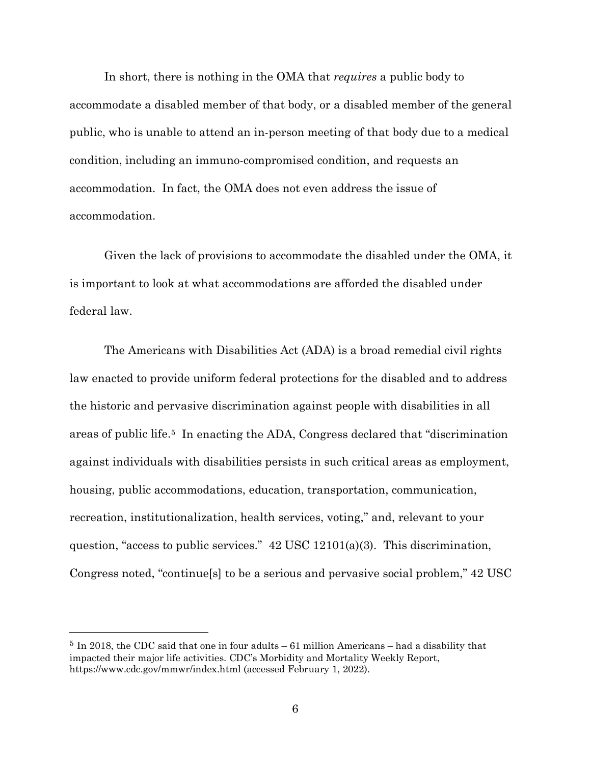In short, there is nothing in the OMA that *requires* a public body to accommodate a disabled member of that body, or a disabled member of the general public, who is unable to attend an in-person meeting of that body due to a medical condition, including an immuno-compromised condition, and requests an accommodation. In fact, the OMA does not even address the issue of accommodation.

Given the lack of provisions to accommodate the disabled under the OMA, it is important to look at what accommodations are afforded the disabled under federal law.

The Americans with Disabilities Act (ADA) is a broad remedial civil rights law enacted to provide uniform federal protections for the disabled and to address the historic and pervasive discrimination against people with disabilities in all areas of public life[.5](#page-5-0) In enacting the ADA, Congress declared that "discrimination against individuals with disabilities persists in such critical areas as employment, housing, public accommodations, education, transportation, communication, recreation, institutionalization, health services, voting," and, relevant to your question, "access to public services." 42 USC 12101(a)(3). This discrimination, Congress noted, "continue[s] to be a serious and pervasive social problem," 42 USC

<span id="page-5-0"></span><sup>5</sup> In 2018, the CDC said that one in four adults – 61 million Americans – had a disability that impacted their major life activities. CDC's [Morbidity and Mortality Weekly Report,](https://www.cdc.gov/mmwr/volumes/67/wr/mm6732a3.htm?s_cid=mm6732a3_w) <https://www.cdc.gov/mmwr/index.html> (accessed February 1, 2022).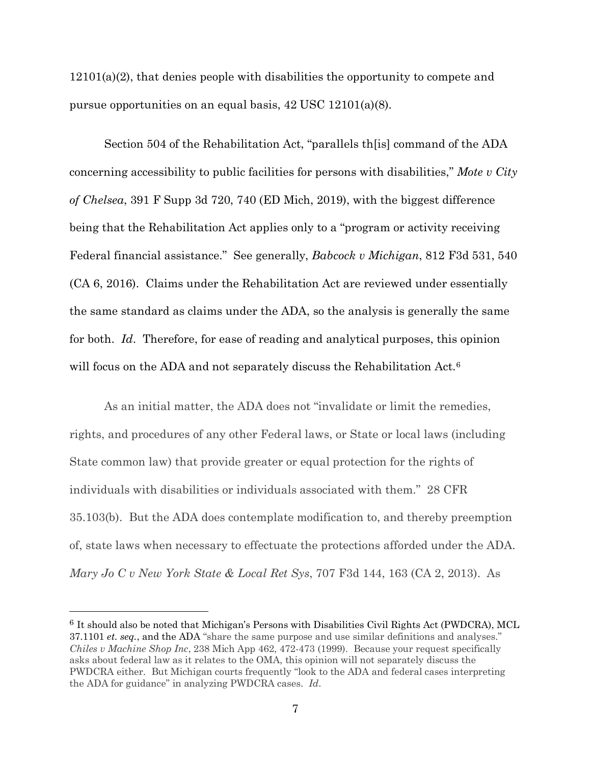12101(a)(2), that denies people with disabilities the opportunity to compete and pursue opportunities on an equal basis, 42 USC 12101(a)(8).

Section 504 of the Rehabilitation Act, "parallels th[is] command of the ADA concerning accessibility to public facilities for persons with disabilities," *Mote v City of Chelsea*, 391 F Supp 3d 720, 740 (ED Mich, 2019), with the biggest difference being that the Rehabilitation Act applies only to a "program or activity receiving Federal financial assistance." See generally, *Babcock v Michigan*, 812 F3d 531, 540 (CA 6, 2016). Claims under the Rehabilitation Act are reviewed under essentially the same standard as claims under the ADA, so the analysis is generally the same for both. *Id*. Therefore, for ease of reading and analytical purposes, this opinion will focus on the ADA and not separately discuss the Rehabilitation Act.<sup>[6](#page-6-0)</sup>

As an initial matter, the ADA does not "invalidate or limit the remedies, rights, and procedures of any other Federal laws, or State or local laws (including State common law) that provide greater or equal protection for the rights of individuals with disabilities or individuals associated with them." 28 CFR 35.103(b). But the ADA does contemplate modification to, and thereby preemption of, state laws when necessary to effectuate the protections afforded under the ADA. *Mary Jo C v New York State & Local Ret Sys*, 707 F3d 144, 163 (CA 2, 2013). As

<span id="page-6-0"></span><sup>6</sup> It should also be noted that Michigan's Persons with Disabilities Civil Rights Act (PWDCRA), MCL 37.1101 *et. seq.*, and the ADA "share the same purpose and use similar definitions and analyses." *Chiles v Machine Shop Inc*, 238 Mich App 462, 472-473 (1999). Because your request specifically asks about federal law as it relates to the OMA, this opinion will not separately discuss the PWDCRA either. But Michigan courts frequently "look to the ADA and federal cases interpreting the ADA for guidance" in analyzing PWDCRA cases. *Id*.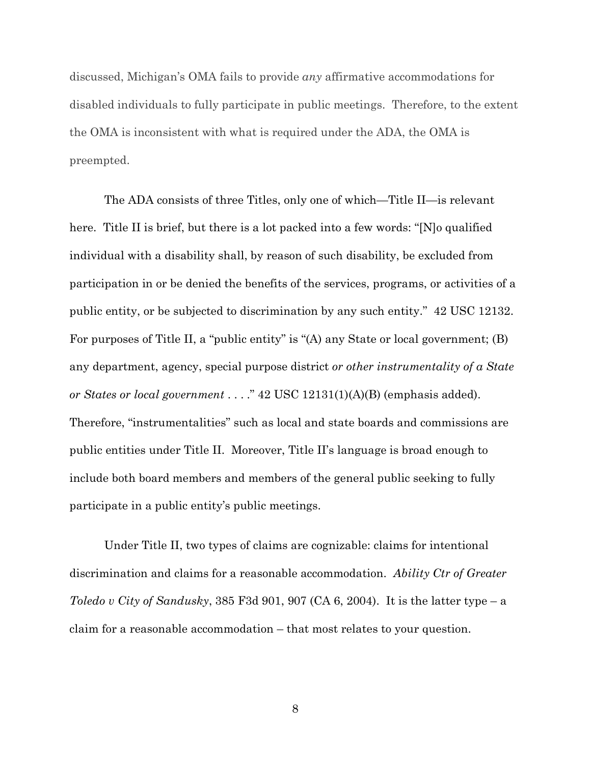discussed, Michigan's OMA fails to provide *any* affirmative accommodations for disabled individuals to fully participate in public meetings. Therefore, to the extent the OMA is inconsistent with what is required under the ADA, the OMA is preempted.

The ADA consists of three Titles, only one of which—Title II—is relevant here. Title II is brief, but there is a lot packed into a few words: "[N]o qualified individual with a disability shall, by reason of such disability, be excluded from participation in or be denied the benefits of the services, programs, or activities of a public entity, or be subjected to discrimination by any such entity." 42 USC 12132. For purposes of Title II, a "public entity" is "(A) any State or local government; (B) any department, agency, special purpose district *or other instrumentality of a State or States or local government* . . . ." 42 USC 12131(1)(A)(B) (emphasis added). Therefore, "instrumentalities" such as local and state boards and commissions are public entities under Title II. Moreover, Title II's language is broad enough to include both board members and members of the general public seeking to fully participate in a public entity's public meetings.

Under Title II, two types of claims are cognizable: claims for intentional discrimination and claims for a reasonable accommodation. *Ability Ctr of Greater Toledo v City of Sandusky*, 385 F3d 901, 907 (CA 6, 2004). It is the latter type – a claim for a reasonable accommodation – that most relates to your question.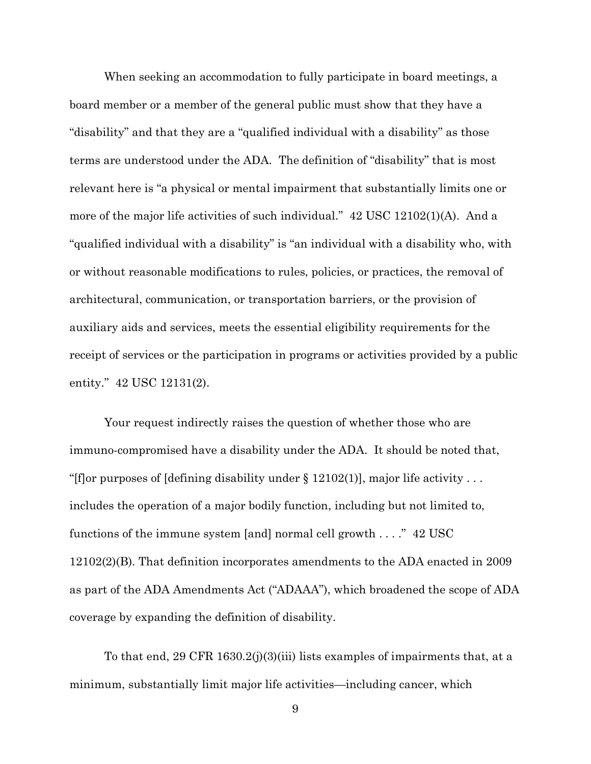When seeking an accommodation to fully participate in board meetings, a board member or a member of the general public must show that they have a "disability" and that they are a "qualified individual with a disability" as those terms are understood under the ADA. The definition of "disability" that is most relevant here is "a physical or mental impairment that substantially limits one or more of the major life activities of such individual." 42 USC 12102(1)(A). And a "qualified individual with a disability" is "an individual with a disability who, with or without reasonable modifications to rules, policies, or practices, the removal of architectural, communication, or transportation barriers, or the provision of auxiliary aids and services, meets the essential eligibility requirements for the receipt of services or the participation in programs or activities provided by a public entity." 42 USC 12131(2).

Your request indirectly raises the question of whether those who are immuno-compromised have a disability under the ADA. It should be noted that, "[f]or purposes of [defining disability under  $\S 12102(1)$ ], major life activity ... includes the operation of a major bodily function, including but not limited to, functions of the immune system [and] normal cell growth  $\dots$ ." 42 USC 12102(2)(B). That definition incorporates amendments to the ADA enacted in 2009 as part of the ADA Amendments Act ("ADAAA"), which broadened the scope of ADA coverage by expanding the definition of disability.

To that end, 29 CFR 1630.2(j)(3)(iii) lists examples of impairments that, at a minimum, substantially limit major life activities—including cancer, which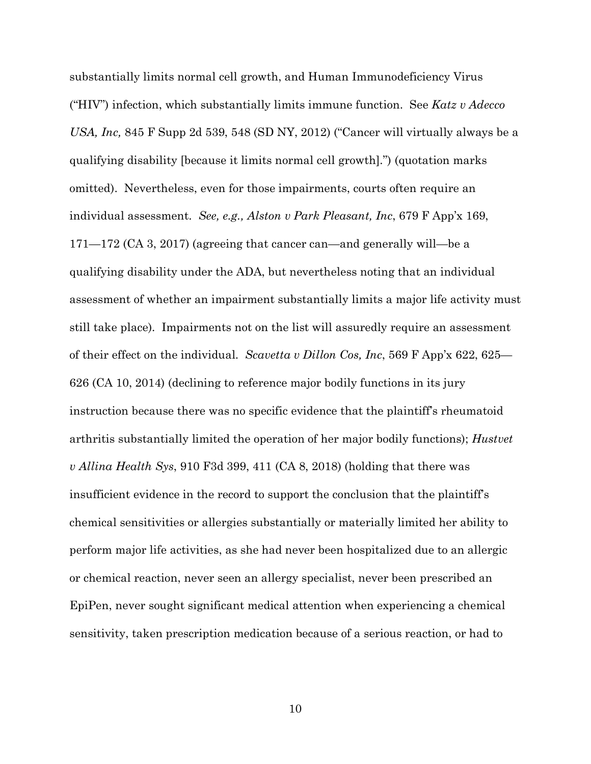substantially limits normal cell growth, and Human Immunodeficiency Virus ("HIV") infection, which substantially limits immune function. See *Katz v Adecco USA, Inc,* 845 F Supp 2d 539, 548 (SD NY, 2012) ("Cancer will virtually always be a qualifying disability [because it limits normal cell growth].") (quotation marks omitted). Nevertheless, even for those impairments, courts often require an individual assessment. *See, e.g., Alston v Park Pleasant, Inc*, 679 F App'x 169, 171—172 (CA 3, 2017) (agreeing that cancer can—and generally will—be a qualifying disability under the ADA, but nevertheless noting that an individual assessment of whether an impairment substantially limits a major life activity must still take place). Impairments not on the list will assuredly require an assessment of their effect on the individual. *Scavetta v Dillon Cos, Inc*, 569 F App'x 622, 625— 626 (CA 10, 2014) (declining to reference major bodily functions in its jury instruction because there was no specific evidence that the plaintiff's rheumatoid arthritis substantially limited the operation of her major bodily functions); *Hustvet v Allina Health Sys*, 910 F3d 399, 411 (CA 8, 2018) (holding that there was insufficient evidence in the record to support the conclusion that the plaintiff's chemical sensitivities or allergies substantially or materially limited her ability to perform major life activities, as she had never been hospitalized due to an allergic or chemical reaction, never seen an allergy specialist, never been prescribed an EpiPen, never sought significant medical attention when experiencing a chemical sensitivity, taken prescription medication because of a serious reaction, or had to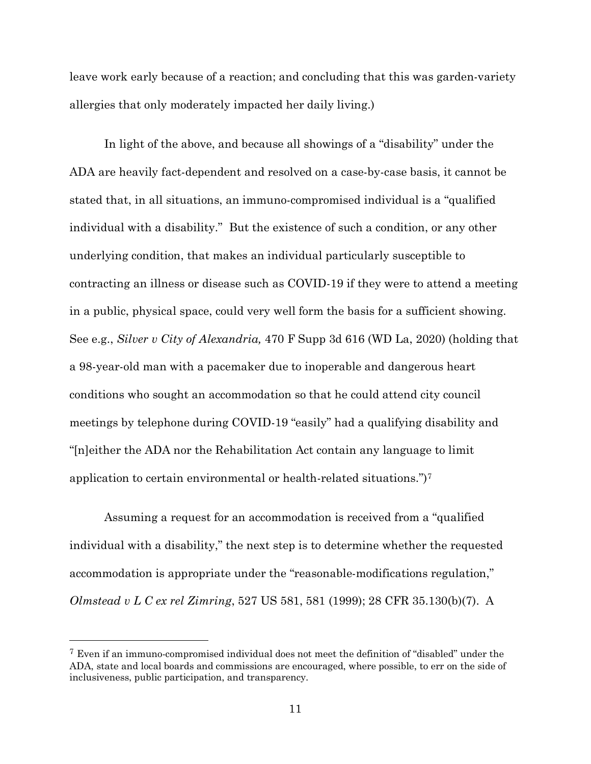leave work early because of a reaction; and concluding that this was garden-variety allergies that only moderately impacted her daily living.)

In light of the above, and because all showings of a "disability" under the ADA are heavily fact-dependent and resolved on a case-by-case basis, it cannot be stated that, in all situations, an immuno-compromised individual is a "qualified individual with a disability." But the existence of such a condition, or any other underlying condition, that makes an individual particularly susceptible to contracting an illness or disease such as COVID-19 if they were to attend a meeting in a public, physical space, could very well form the basis for a sufficient showing. See e.g., *Silver v City of Alexandria,* 470 F Supp 3d 616 (WD La, 2020) (holding that a 98-year-old man with a pacemaker due to inoperable and dangerous heart conditions who sought an accommodation so that he could attend city council meetings by telephone during COVID-19 "easily" had a qualifying disability and "[n]either the ADA nor the Rehabilitation Act contain any language to limit application to certain environmental or health-related situations.")[7](#page-10-0)

Assuming a request for an accommodation is received from a "qualified individual with a disability," the next step is to determine whether the requested accommodation is appropriate under the "reasonable-modifications regulation," *Olmstead v L C ex rel Zimring*, 527 US 581, 581 (1999); 28 CFR 35.130(b)(7). A

<span id="page-10-0"></span><sup>7</sup> Even if an immuno-compromised individual does not meet the definition of "disabled" under the ADA, state and local boards and commissions are encouraged, where possible, to err on the side of inclusiveness, public participation, and transparency.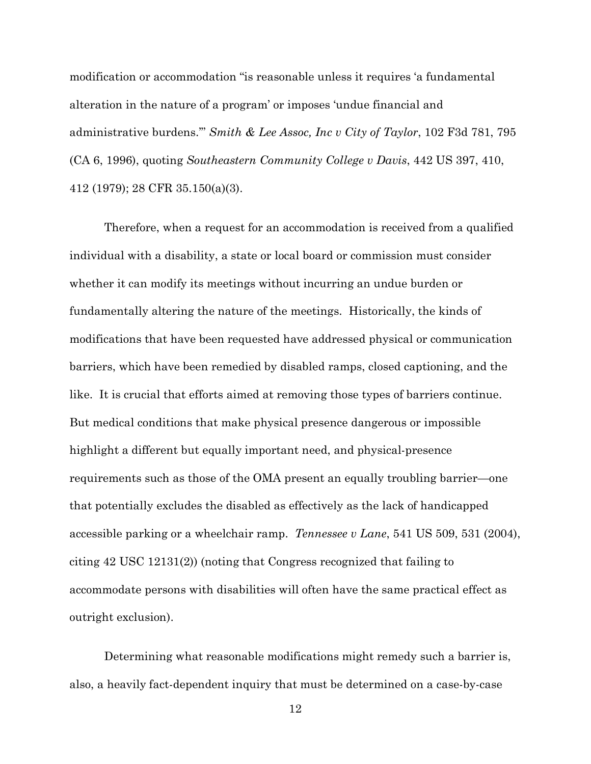modification or accommodation "is reasonable unless it requires 'a fundamental alteration in the nature of a program' or imposes 'undue financial and administrative burdens.'" *Smith & Lee Assoc, Inc v City of Taylor*, 102 F3d 781, 795 (CA 6, 1996), quoting *Southeastern Community College v Davis*, 442 US 397, 410, 412 (1979); 28 CFR 35.150(a)(3).

Therefore, when a request for an accommodation is received from a qualified individual with a disability, a state or local board or commission must consider whether it can modify its meetings without incurring an undue burden or fundamentally altering the nature of the meetings. Historically, the kinds of modifications that have been requested have addressed physical or communication barriers, which have been remedied by disabled ramps, closed captioning, and the like. It is crucial that efforts aimed at removing those types of barriers continue. But medical conditions that make physical presence dangerous or impossible highlight a different but equally important need, and physical-presence requirements such as those of the OMA present an equally troubling barrier—one that potentially excludes the disabled as effectively as the lack of handicapped accessible parking or a wheelchair ramp. *Tennessee v Lane*, 541 US 509, 531 (2004), citing 42 USC 12131(2)) (noting that Congress recognized that failing to accommodate persons with disabilities will often have the same practical effect as outright exclusion).

Determining what reasonable modifications might remedy such a barrier is, also, a heavily fact-dependent inquiry that must be determined on a case-by-case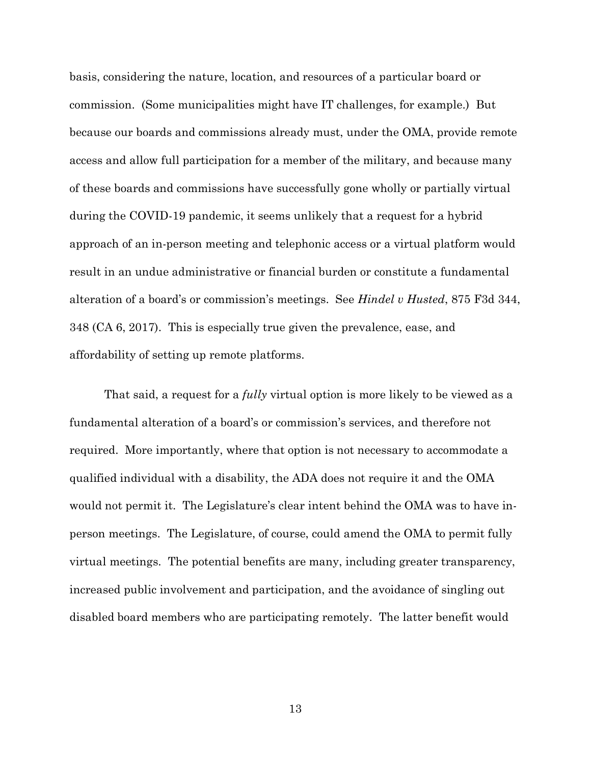basis, considering the nature, location, and resources of a particular board or commission. (Some municipalities might have IT challenges, for example.) But because our boards and commissions already must, under the OMA, provide remote access and allow full participation for a member of the military, and because many of these boards and commissions have successfully gone wholly or partially virtual during the COVID-19 pandemic, it seems unlikely that a request for a hybrid approach of an in-person meeting and telephonic access or a virtual platform would result in an undue administrative or financial burden or constitute a fundamental alteration of a board's or commission's meetings. See *Hindel v Husted*, 875 F3d 344, 348 (CA 6, 2017). This is especially true given the prevalence, ease, and affordability of setting up remote platforms.

That said, a request for a *fully* virtual option is more likely to be viewed as a fundamental alteration of a board's or commission's services, and therefore not required. More importantly, where that option is not necessary to accommodate a qualified individual with a disability, the ADA does not require it and the OMA would not permit it. The Legislature's clear intent behind the OMA was to have inperson meetings. The Legislature, of course, could amend the OMA to permit fully virtual meetings. The potential benefits are many, including greater transparency, increased public involvement and participation, and the avoidance of singling out disabled board members who are participating remotely. The latter benefit would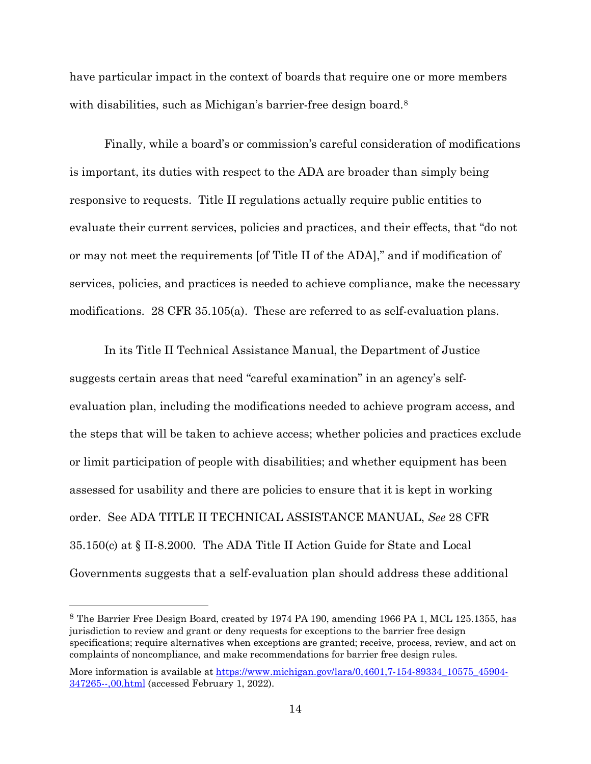have particular impact in the context of boards that require one or more members with disabilities, such as Michigan's barrier-free design board.<sup>8</sup>

Finally, while a board's or commission's careful consideration of modifications is important, its duties with respect to the ADA are broader than simply being responsive to requests. Title II regulations actually require public entities to evaluate their current services, policies and practices, and their effects, that "do not or may not meet the requirements [of Title II of the ADA]," and if modification of services, policies, and practices is needed to achieve compliance, make the necessary modifications. 28 CFR 35.105(a). These are referred to as self-evaluation plans.

In its Title II Technical Assistance Manual, the Department of Justice suggests certain areas that need "careful examination" in an agency's selfevaluation plan, including the modifications needed to achieve program access, and the steps that will be taken to achieve access; whether policies and practices exclude or limit participation of people with disabilities; and whether equipment has been assessed for usability and there are policies to ensure that it is kept in working order. See ADA TITLE II TECHNICAL ASSISTANCE MANUAL, *See* 28 CFR 35.150(c) at § II-8.2000. The ADA Title II Action Guide for State and Local Governments suggests that a self-evaluation plan should address these additional

<span id="page-13-0"></span><sup>8</sup> The Barrier Free Design Board, created by 1974 PA 190, amending [1966 PA 1,](http://legislature.mi.gov/doc.aspx?mcl-Act-1-of-1966) MCL 125.1355, has jurisdiction to review and grant or deny requests for exceptions to the barrier free design specifications; require alternatives when exceptions are granted; receive, process, review, and act on complaints of noncompliance, and make recommendations for barrier free design rules.

More information is available a[t https://www.michigan.gov/lara/0,4601,7-154-89334\\_10575\\_45904-](https://www.michigan.gov/lara/0,4601,7-154-89334_10575_45904-347265--,00.html) [347265--,00.html](https://www.michigan.gov/lara/0,4601,7-154-89334_10575_45904-347265--,00.html) (accessed February 1, 2022).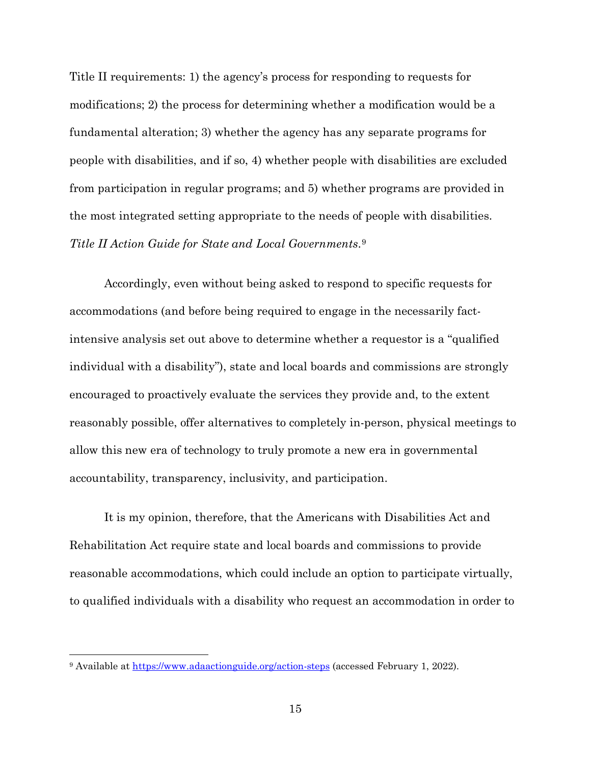Title II requirements: 1) the agency's process for responding to requests for modifications; 2) the process for determining whether a modification would be a fundamental alteration; 3) whether the agency has any separate programs for people with disabilities, and if so, 4) whether people with disabilities are excluded from participation in regular programs; and 5) whether programs are provided in the most integrated setting appropriate to the needs of people with disabilities. *Title II Action Guide for State and Local Governments*.[9](#page-14-0)

Accordingly, even without being asked to respond to specific requests for accommodations (and before being required to engage in the necessarily factintensive analysis set out above to determine whether a requestor is a "qualified individual with a disability"), state and local boards and commissions are strongly encouraged to proactively evaluate the services they provide and, to the extent reasonably possible, offer alternatives to completely in-person, physical meetings to allow this new era of technology to truly promote a new era in governmental accountability, transparency, inclusivity, and participation.

It is my opinion, therefore, that the Americans with Disabilities Act and Rehabilitation Act require state and local boards and commissions to provide reasonable accommodations, which could include an option to participate virtually, to qualified individuals with a disability who request an accommodation in order to

<span id="page-14-0"></span><sup>&</sup>lt;sup>9</sup> Available at <https://www.adaactionguide.org/action-steps> (accessed February 1, 2022).